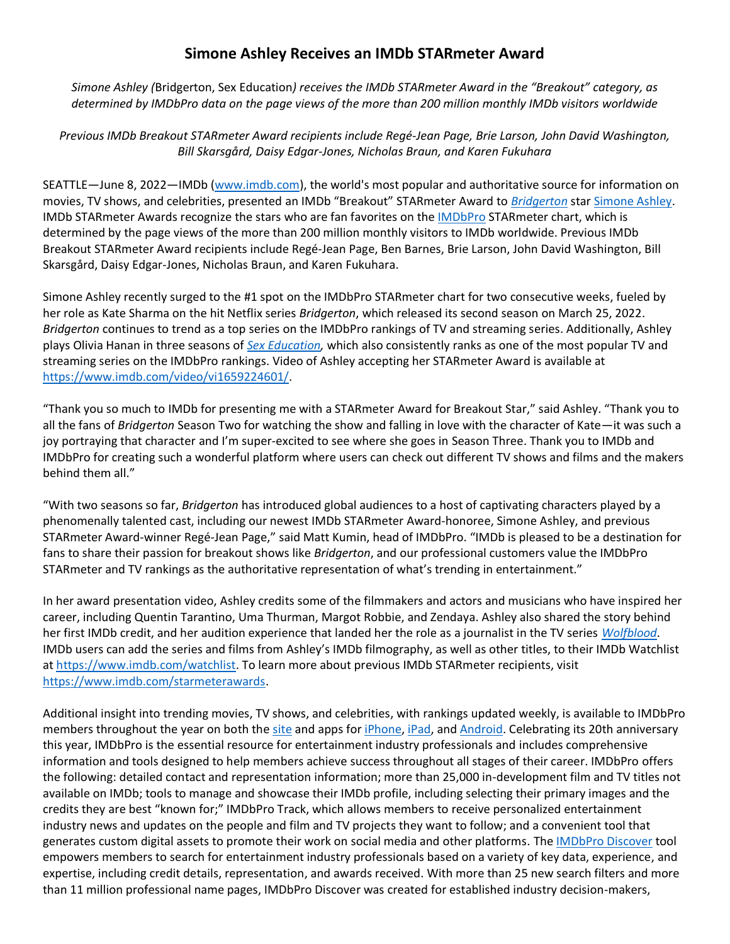## **Simone Ashley Receives an IMDb STARmeter Award**

*Simone Ashley (*Bridgerton, Sex Education*) receives the IMDb STARmeter Award in the "Breakout" category, as determined by IMDbPro data on the page views of the more than 200 million monthly IMDb visitors worldwide*

*Previous IMDb Breakout STARmeter Award recipients include Regé-Jean Page, Brie Larson, John David Washington, Bill Skarsgård, Daisy Edgar-Jones, Nicholas Braun, and Karen Fukuhara*

SEATTLE—June 8, 2022—IMDb [\(www.imdb.com\)](http://www.imdb.com/), the world's most popular and authoritative source for information on movies, TV shows, and celebrities, presented an IMDb "Breakout" STARmeter Award to *[Bridgerton](https://www.imdb.com/title/tt8740790)* star [Simone Ashley.](https://www.imdb.com/name/nm7592760) IMDb STARmeter Awards recognize the stars who are fan favorites on the [IMDbPro](https://pro.imdb.com/) STARmeter chart, which is determined by the page views of the more than 200 million monthly visitors to IMDb worldwide. Previous IMDb Breakout STARmeter Award recipients include Regé-Jean Page, Ben Barnes, Brie Larson, John David Washington, Bill Skarsgård, Daisy Edgar-Jones, Nicholas Braun, and Karen Fukuhara.

Simone Ashley recently surged to the #1 spot on the IMDbPro STARmeter chart for two consecutive weeks, fueled by her role as Kate Sharma on the hit Netflix series *Bridgerton*, which released its second season on March 25, 2022. *Bridgerton* continues to trend as a top series on the IMDbPro rankings of TV and streaming series. Additionally, Ashley plays Olivia Hanan in three seasons of *[Sex Education,](https://www.imdb.com/title/tt7767422)* which also consistently ranks as one of the most popular TV and streaming series on the IMDbPro rankings. Video of Ashley accepting her STARmeter Award is available at [https://www.imdb.com/video/vi1659224601/.](https://www.imdb.com/video/vi1659224601/)

"Thank you so much to IMDb for presenting me with a STARmeter Award for Breakout Star," said Ashley. "Thank you to all the fans of *Bridgerton* Season Two for watching the show and falling in love with the character of Kate—it was such a joy portraying that character and I'm super-excited to see where she goes in Season Three. Thank you to IMDb and IMDbPro for creating such a wonderful platform where users can check out different TV shows and films and the makers behind them all."

"With two seasons so far, *Bridgerton* has introduced global audiences to a host of captivating characters played by a phenomenally talented cast, including our newest IMDb STARmeter Award-honoree, Simone Ashley, and previous STARmeter Award-winner Regé-Jean Page," said Matt Kumin, head of IMDbPro. "IMDb is pleased to be a destination for fans to share their passion for breakout shows like *Bridgerton*, and our professional customers value the IMDbPro STARmeter and TV rankings as the authoritative representation of what's trending in entertainment."

In her award presentation video, Ashley credits some of the filmmakers and actors and musicians who have inspired her career, including Quentin Tarantino, Uma Thurman, Margot Robbie, and Zendaya. Ashley also shared the story behind her first IMDb credit, and her audition experience that landed her the role as a journalist in the TV series *[Wolfblood](https://www.imdb.com/title/tt2321596)*. IMDb users can add the series and films from Ashley's IMDb filmography, as well as other titles, to their IMDb Watchlist at [https://www.imdb.com/watchlist.](https://www.imdb.com/watchlist) To learn more about previous IMDb STARmeter recipients, visit [https://www.imdb.com/starmeterawards.](https://www.imdb.com/starmeterawards)

Additional insight into trending movies, TV shows, and celebrities, with rankings updated weekly, is available to IMDbPro members throughout the year on both the [site](http://www.imdbpro.com/) and apps for *iPhone*, *iPad*, and *Android*. Celebrating its 20th anniversary this year, IMDbPro is the essential resource for entertainment industry professionals and includes comprehensive information and tools designed to help members achieve success throughout all stages of their career. IMDbPro offers the following: detailed contact and representation information; more than 25,000 in-development film and TV titles not available on IMDb; tools to manage and showcase their IMDb profile, including selecting their primary images and the credits they are best "known for;" IMDbPro Track, which allows members to receive personalized entertainment industry news and updates on the people and film and TV projects they want to follow; and a convenient tool that generates custom digital assets to promote their work on social media and other platforms. Th[e IMDbPro Discover](https://pro.imdb.com/discover/people) tool empowers members to search for entertainment industry professionals based on a variety of key data, experience, and expertise, including credit details, representation, and awards received. With more than 25 new search filters and more than 11 million professional name pages, IMDbPro Discover was created for established industry decision-makers,